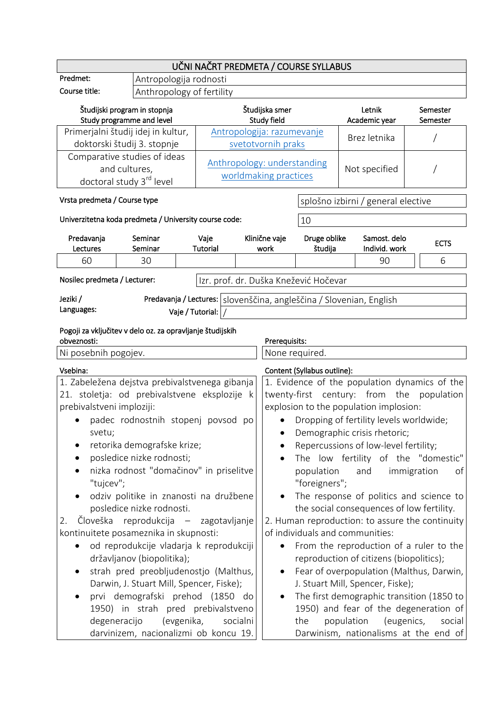| UČNI NAČRT PREDMETA / COURSE SYLLABUS                                                                              |                                                           |                                                                                               |                                                                                                                                         |                                                                                           |                                    |                      |  |
|--------------------------------------------------------------------------------------------------------------------|-----------------------------------------------------------|-----------------------------------------------------------------------------------------------|-----------------------------------------------------------------------------------------------------------------------------------------|-------------------------------------------------------------------------------------------|------------------------------------|----------------------|--|
| Predmet:                                                                                                           | Antropologija rodnosti                                    |                                                                                               |                                                                                                                                         |                                                                                           |                                    |                      |  |
| Course title:                                                                                                      |                                                           | Anthropology of fertility                                                                     |                                                                                                                                         |                                                                                           |                                    |                      |  |
|                                                                                                                    | Študijski program in stopnja<br>Study programme and level |                                                                                               | Študijska smer<br>Study field                                                                                                           |                                                                                           | Letnik<br>Academic year            | Semester<br>Semester |  |
| Primerjalni študij idej in kultur,<br>Antropologija: razumevanje<br>doktorski študij 3. stopnje                    |                                                           | svetotvornih praks                                                                            |                                                                                                                                         | Brez letnika                                                                              |                                    |                      |  |
| Comparative studies of ideas<br>and cultures,<br>doctoral study 3 <sup>rd</sup> level                              |                                                           | Anthropology: understanding<br>worldmaking practices                                          |                                                                                                                                         | Not specified                                                                             |                                    |                      |  |
| Vrsta predmeta / Course type                                                                                       |                                                           |                                                                                               |                                                                                                                                         |                                                                                           | splošno izbirni / general elective |                      |  |
|                                                                                                                    | Univerzitetna koda predmeta / University course code:     |                                                                                               |                                                                                                                                         | 10                                                                                        |                                    |                      |  |
| Predavanja<br>Lectures                                                                                             | Seminar<br>Seminar                                        | Vaje<br>Tutorial                                                                              | Klinične vaje<br>work                                                                                                                   | Druge oblike<br>študija                                                                   | Samost. delo<br>Individ. work      | <b>ECTS</b>          |  |
| 60                                                                                                                 | 30                                                        |                                                                                               |                                                                                                                                         |                                                                                           | 90                                 | 6                    |  |
| Nosilec predmeta / Lecturer:                                                                                       |                                                           | Izr. prof. dr. Duška Knežević Hočevar                                                         |                                                                                                                                         |                                                                                           |                                    |                      |  |
| Jeziki /<br>Languages:                                                                                             |                                                           | Predavanja / Lectures:   slovenščina, angleščina / Slovenian, English<br>Vaje / Tutorial: $ $ |                                                                                                                                         |                                                                                           |                                    |                      |  |
| Pogoji za vključitev v delo oz. za opravljanje študijskih<br>obveznosti:<br>Prerequisits:                          |                                                           |                                                                                               |                                                                                                                                         |                                                                                           |                                    |                      |  |
| Ni posebnih pogojev.                                                                                               |                                                           |                                                                                               | None required.                                                                                                                          |                                                                                           |                                    |                      |  |
| Vsebina:                                                                                                           |                                                           |                                                                                               |                                                                                                                                         | Content (Syllabus outline):                                                               |                                    |                      |  |
|                                                                                                                    | 1. Zabeležena dejstva prebivalstvenega gibanja            |                                                                                               |                                                                                                                                         | 1. Evidence of the population dynamics of the                                             |                                    |                      |  |
|                                                                                                                    | 21. stoletja: od prebivalstvene eksplozije k              |                                                                                               | twenty-first century: from the<br>population                                                                                            |                                                                                           |                                    |                      |  |
| prebivalstveni imploziji:                                                                                          |                                                           |                                                                                               | explosion to the population implosion:                                                                                                  |                                                                                           |                                    |                      |  |
|                                                                                                                    | padec rodnostnih stopenj povsod po                        |                                                                                               | Dropping of fertility levels worldwide;                                                                                                 |                                                                                           |                                    |                      |  |
| svetu;                                                                                                             |                                                           |                                                                                               | Demographic crisis rhetoric;<br>$\bullet$                                                                                               |                                                                                           |                                    |                      |  |
|                                                                                                                    | retorika demografske krize;                               |                                                                                               |                                                                                                                                         | Repercussions of low-level fertility;<br>The low fertility of the "domestic"<br>$\bullet$ |                                    |                      |  |
| posledice nizke rodnosti;<br>nizka rodnost "domačinov" in priselitve<br>"tujcev";                                  |                                                           |                                                                                               |                                                                                                                                         | population<br>immigration<br>and<br>of<br>"foreigners";                                   |                                    |                      |  |
| odziv politike in znanosti na družbene<br>posledice nizke rodnosti.<br>Človeška reprodukcija – zagotavljanje<br>2. |                                                           |                                                                                               | The response of politics and science to<br>the social consequences of low fertility.<br>2. Human reproduction: to assure the continuity |                                                                                           |                                    |                      |  |
| kontinuitete posameznika in skupnosti:                                                                             |                                                           |                                                                                               | of individuals and communities:                                                                                                         |                                                                                           |                                    |                      |  |
| od reprodukcije vladarja k reprodukciji<br>državljanov (biopolitika);                                              |                                                           |                                                                                               | From the reproduction of a ruler to the<br>reproduction of citizens (biopolitics);                                                      |                                                                                           |                                    |                      |  |
| strah pred preobljudenostjo (Malthus,                                                                              |                                                           |                                                                                               |                                                                                                                                         | Fear of overpopulation (Malthus, Darwin,                                                  |                                    |                      |  |
| Darwin, J. Stuart Mill, Spencer, Fiske);                                                                           |                                                           |                                                                                               |                                                                                                                                         | J. Stuart Mill, Spencer, Fiske);                                                          |                                    |                      |  |
| prvi demografski prehod (1850 do                                                                                   |                                                           |                                                                                               | The first demographic transition (1850 to                                                                                               |                                                                                           |                                    |                      |  |
| 1950) in strah pred prebivalstveno                                                                                 |                                                           |                                                                                               | 1950) and fear of the degeneration of                                                                                                   |                                                                                           |                                    |                      |  |
| degeneracijo<br>(evgenika,<br>socialni                                                                             |                                                           |                                                                                               | the                                                                                                                                     | population                                                                                | (eugenics,<br>social               |                      |  |
| darvinizem, nacionalizmi ob koncu 19.                                                                              |                                                           |                                                                                               |                                                                                                                                         | Darwinism, nationalisms at the end of                                                     |                                    |                      |  |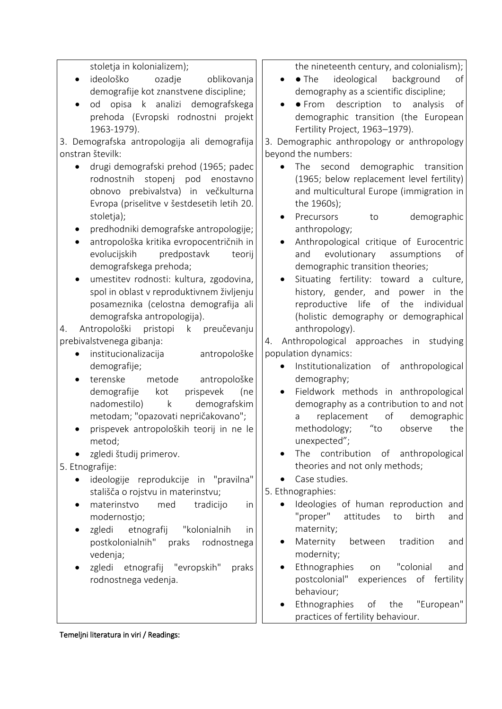| stoletja in kolonializem);                         | the nineteenth century, and colonialism);               |
|----------------------------------------------------|---------------------------------------------------------|
| ideološko<br>ozadje<br>oblikovanja<br>$\bullet$    | ideological<br>$\bullet$ The<br>background<br>of        |
| demografije kot znanstvene discipline;             | demography as a scientific discipline;                  |
| od opisa k analizi demografskega<br>$\bullet$      | · From description to<br>analysis<br>of<br>$\bullet$    |
| prehoda (Evropski rodnostni projekt                | demographic transition (the European                    |
| 1963-1979).                                        | Fertility Project, 1963-1979).                          |
| 3. Demografska antropologija ali demografija       | 3. Demographic anthropology or anthropology             |
| onstran številk:                                   | beyond the numbers:                                     |
| drugi demografski prehod (1965; padec<br>$\bullet$ | The second<br>demographic transition                    |
| rodnostnih<br>stopenj<br>pod<br>enostavno          | (1965; below replacement level fertility)               |
|                                                    |                                                         |
| obnovo prebivalstva) in večkulturna                | and multicultural Europe (immigration in                |
| Evropa (priselitve v šestdesetih letih 20.         | the 1960s);                                             |
| stoletja);                                         | Precursors<br>demographic<br>to<br>$\bullet$            |
| predhodniki demografske antropologije;             | anthropology;                                           |
| antropološka kritika evropocentričnih in<br>٠      | Anthropological critique of Eurocentric                 |
| predpostavk<br>evolucijskih<br>teorij              | evolutionary assumptions<br>and<br>of                   |
| demografskega prehoda;                             | demographic transition theories;                        |
| umestitev rodnosti: kultura, zgodovina,            | Situating fertility: toward a culture,                  |
| spol in oblast v reproduktivnem življenju          | history, gender, and power<br>in the                    |
| posameznika (celostna demografija ali              | reproductive life of the<br>individual                  |
| demografska antropologija).                        | (holistic demography or demographical                   |
| Antropološki pristopi<br>k preučevanju<br>4.       | anthropology).                                          |
| prebivalstvenega gibanja:                          | Anthropological approaches in<br>studying<br>4.         |
| institucionalizacija<br>antropološke               | population dynamics:                                    |
| demografije;                                       | Institutionalization of<br>anthropological<br>$\bullet$ |
| terenske<br>metode<br>antropološke                 | demography;                                             |
| demografije<br>kot<br>prispevek<br>(ne             | Fieldwork methods in anthropological<br>$\bullet$       |
| nadomestilo) k<br>demografskim                     | demography as a contribution to and not                 |
| metodam; "opazovati nepričakovano";                | replacement<br>of<br>demographic<br>a                   |
| prispevek antropoloških teorij in ne le            | $^{\prime\prime}$ to<br>methodology;<br>observe<br>the  |
| metod;                                             | unexpected";                                            |
| zgledi študij primerov.                            | The contribution of<br>anthropological                  |
| 5. Etnografije:                                    | theories and not only methods;                          |
|                                                    | Case studies.                                           |
| ideologije reprodukcije in "pravilna"              |                                                         |
| stališča o rojstvu in materinstvu;                 | 5. Ethnographies:                                       |
| med<br>materinstvo<br>tradicijo<br>in              | Ideologies of human reproduction and                    |
| modernostjo;                                       | "proper"<br>attitudes<br>birth<br>to<br>and             |
| zgledi<br>etnografij<br>"kolonialnih<br><i>in</i>  | maternity;                                              |
| postkolonialnih"<br>rodnostnega<br>praks           | Maternity<br>tradition<br>between<br>and                |
| vedenja;                                           | modernity;                                              |
| zgledi etnografij "evropskih"<br>praks             | Ethnographies<br>"colonial<br>on<br>and                 |
| rodnostnega vedenja.                               | postcolonial" experiences of fertility                  |
|                                                    | behaviour;                                              |
|                                                    | Ethnographies<br>of<br>the<br>"European"                |
|                                                    | practices of fertility behaviour.                       |
|                                                    |                                                         |
| Temeljni literatura in viri / Readings:            |                                                         |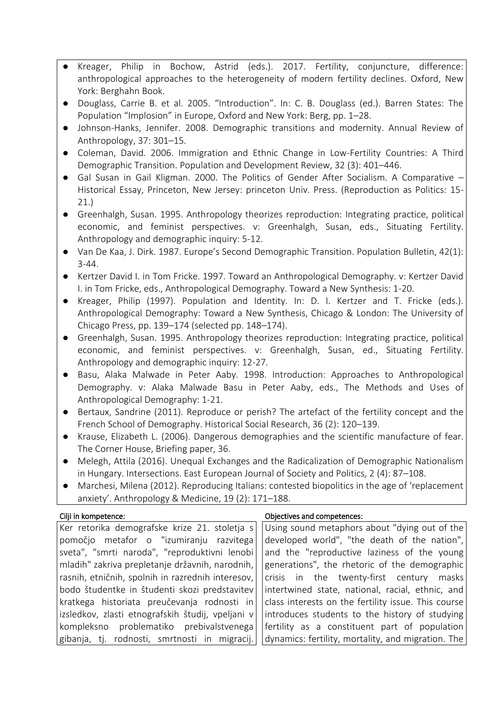- Kreager, Philip in Bochow, Astrid (eds.). 2017. Fertility, conjuncture, difference: anthropological approaches to the heterogeneity of modern fertility declines. Oxford, New York: Berghahn Book.
- Douglass, Carrie B. et al. 2005. "Introduction". In: C. B. Douglass (ed.). Barren States: The Population "Implosion" in Europe, Oxford and New York: Berg, pp. 1–28.
- Johnson-Hanks, Jennifer. 2008. Demographic transitions and modernity. Annual Review of Anthropology, 37: 301–15.
- Coleman, David. 2006. Immigration and Ethnic Change in Low-Fertility Countries: A Third Demographic Transition. Population and Development Review, 32 (3): 401–446.
- Gal Susan in Gail Kligman. 2000. The Politics of Gender After Socialism. A Comparative Historical Essay, Princeton, New Jersey: princeton Univ. Press. (Reproduction as Politics: 15- 21.)
- Greenhalgh, Susan. 1995. Anthropology theorizes reproduction: Integrating practice, political economic, and feminist perspectives. v: Greenhalgh, Susan, eds., Situating Fertility. Anthropology and demographic inquiry: 5-12.
- Van De Kaa, J. Dirk. 1987. Europe's Second Demographic Transition. Population Bulletin, 42(1): 3-44.
- Kertzer David I. in Tom Fricke. 1997. Toward an Anthropological Demography. v: Kertzer David I. in Tom Fricke, eds., Anthropological Demography. Toward a New Synthesis: 1-20.
- Kreager, Philip (1997). Population and Identity. In: D. I. Kertzer and T. Fricke (eds.). Anthropological Demography: Toward a New Synthesis, Chicago & London: The University of Chicago Press, pp. 139–174 (selected pp. 148–174).
- Greenhalgh, Susan. 1995. Anthropology theorizes reproduction: Integrating practice, political economic, and feminist perspectives. v: Greenhalgh, Susan, ed., Situating Fertility. Anthropology and demographic inquiry: 12-27.
- Basu, Alaka Malwade in Peter Aaby. 1998. Introduction: Approaches to Anthropological Demography. v: Alaka Malwade Basu in Peter Aaby, eds., The Methods and Uses of Anthropological Demography: 1-21.
- Bertaux, Sandrine (2011). Reproduce or perish? The artefact of the fertility concept and the French School of Demography. Historical Social Research, 36 (2): 120–139.
- Krause, Elizabeth L. (2006). Dangerous demographies and the scientific manufacture of fear. The Corner House, Briefing paper, 36.
- Melegh, Attila (2016). Unequal Exchanges and the Radicalization of Demographic Nationalism in Hungary. Intersections. East European Journal of Society and Politics, 2 (4): 87–108.
- Marchesi, Milena (2012). Reproducing Italians: contested biopolitics in the age of 'replacement anxiety'. Anthropology & Medicine, 19 (2): 171–188.

| Cilji in kompetence: |
|----------------------|
|----------------------|

## Objectives and competences:

Ker retorika demografske krize 21. stoletja s pomočjo metafor o "izumiranju razvitega sveta", "smrti naroda", "reproduktivni lenobi mladih" zakriva prepletanje državnih, narodnih, rasnih, etničnih, spolnih in razrednih interesov, bodo študentke in študenti skozi predstavitev kratkega historiata preučevanja rodnosti in izsledkov, zlasti etnografskih študij, vpeljani v kompleksno problematiko prebivalstvenega gibanja, tj. rodnosti, smrtnosti in migracij. Using sound metaphors about "dying out of the developed world", "the death of the nation", and the "reproductive laziness of the young generations", the rhetoric of the demographic crisis in the twenty-first century masks intertwined state, national, racial, ethnic, and class interests on the fertility issue. This course introduces students to the history of studying fertility as a constituent part of population dynamics: fertility, mortality, and migration. The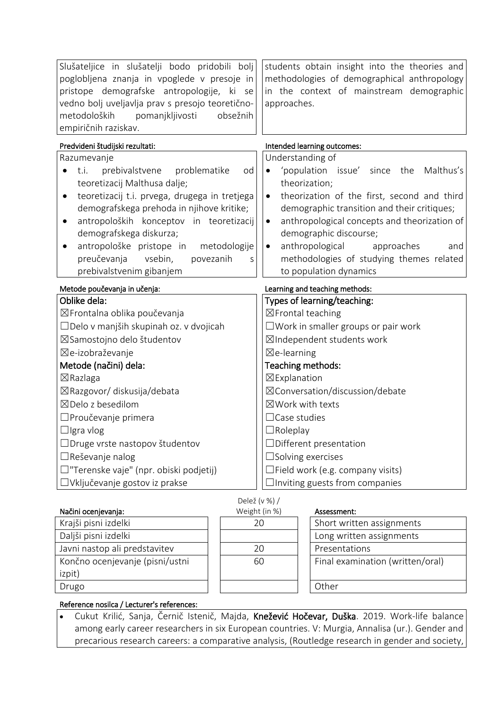| Slušateljice in slušatelji bodo pridobili bolj<br>poglobljena znanja in vpoglede v presoje in<br>pristope demografske antropologije, ki se<br>vedno bolj uveljavlja prav s presojo teoretično-<br>metodoloških<br>pomanjkljivosti<br>obsežnih<br>empiričnih raziskav. | students obtain insight into the theories and<br>methodologies of demographical anthropology<br>in the context of mainstream demographic<br>approaches.                                        |  |  |
|-----------------------------------------------------------------------------------------------------------------------------------------------------------------------------------------------------------------------------------------------------------------------|------------------------------------------------------------------------------------------------------------------------------------------------------------------------------------------------|--|--|
| Predvideni študijski rezultati:                                                                                                                                                                                                                                       | Intended learning outcomes:                                                                                                                                                                    |  |  |
| Razumevanje                                                                                                                                                                                                                                                           | Understanding of                                                                                                                                                                               |  |  |
| prebivalstvene<br>problematike<br>t.i.<br>od<br>teoretizacij Malthusa dalje;                                                                                                                                                                                          | 'population issue'<br>since the<br>Malthus's<br>$\bullet$<br>theorization;                                                                                                                     |  |  |
| teoretizacij t.i. prvega, drugega in tretjega<br>$\bullet$<br>demografskega prehoda in njihove kritike;<br>antropoloških konceptov in teoretizacij<br>$\bullet$<br>demografskega diskurza;                                                                            | theorization of the first, second and third<br>$\bullet$<br>demographic transition and their critiques;<br>anthropological concepts and theorization of<br>$\bullet$<br>demographic discourse; |  |  |
| antropološke pristope in<br>metodologije<br>preučevanja<br>vsebin,<br>povezanih<br>S<br>prebivalstvenim gibanjem                                                                                                                                                      | anthropological<br>approaches<br>and<br>$\bullet$<br>methodologies of studying themes related<br>to population dynamics                                                                        |  |  |
| Metode poučevanja in učenja:                                                                                                                                                                                                                                          | Learning and teaching methods:                                                                                                                                                                 |  |  |
| Oblike dela:                                                                                                                                                                                                                                                          | Types of learning/teaching:                                                                                                                                                                    |  |  |
| ⊠Frontalna oblika poučevanja                                                                                                                                                                                                                                          | ⊠Frontal teaching                                                                                                                                                                              |  |  |
| □Delo v manjših skupinah oz. v dvojicah                                                                                                                                                                                                                               | $\square$ Work in smaller groups or pair work                                                                                                                                                  |  |  |
| ⊠Samostojno delo študentov                                                                                                                                                                                                                                            | ⊠Independent students work                                                                                                                                                                     |  |  |
| ⊠e-izobraževanje                                                                                                                                                                                                                                                      | $\boxtimes$ e-learning                                                                                                                                                                         |  |  |
| Metode (načini) dela:                                                                                                                                                                                                                                                 | Teaching methods:                                                                                                                                                                              |  |  |
| $\boxtimes$ Razlaga                                                                                                                                                                                                                                                   | ⊠Explanation                                                                                                                                                                                   |  |  |
| ⊠Razgovor/ diskusija/debata                                                                                                                                                                                                                                           | ⊠Conversation/discussion/debate                                                                                                                                                                |  |  |
| ⊠Delo z besedilom                                                                                                                                                                                                                                                     | ⊠Work with texts                                                                                                                                                                               |  |  |
| □ Proučevanje primera                                                                                                                                                                                                                                                 | $\Box$ Case studies                                                                                                                                                                            |  |  |
| $\Box$ Igra vlog                                                                                                                                                                                                                                                      | $\Box$ Roleplay                                                                                                                                                                                |  |  |
| □Druge vrste nastopov študentov                                                                                                                                                                                                                                       | □Different presentation                                                                                                                                                                        |  |  |
| □Reševanje nalog                                                                                                                                                                                                                                                      | $\square$ Solving exercises                                                                                                                                                                    |  |  |
| □"Terenske vaje" (npr. obiski podjetij)                                                                                                                                                                                                                               | $\Box$ Field work (e.g. company visits)                                                                                                                                                        |  |  |
| □Vključevanje gostov iz prakse                                                                                                                                                                                                                                        | $\Box$ Inviting guests from companies                                                                                                                                                          |  |  |

| Delež (v %) / |  |
|---------------|--|
| Weight (in %) |  |

## Assessment:

| inacini ocenjevanja:            | Weight (in %) | Assessment:                      |
|---------------------------------|---------------|----------------------------------|
| Krajši pisni izdelki            | 20            | Short written assignments        |
| Daljši pisni izdelki            |               | Long written assignments         |
| Javni nastop ali predstavitev   | 20            | Presentations                    |
| Končno ocenjevanje (pisni/ustni | 60            | Final examination (written/oral) |
| izpit)                          |               |                                  |
| Drugo                           |               | Other                            |
|                                 |               |                                  |

## Reference nosilca / Lecturer's references:

Načini ocenjevanja:

izpit)

• Cukut Krilić, Sanja, Černič Istenič, Majda, Knežević Hočevar, Duška. 2019. Work-life balance among early career researchers in six European countries. V: Murgia, Annalisa (ur.). Gender and precarious research careers: a comparative analysis, (Routledge research in gender and society,